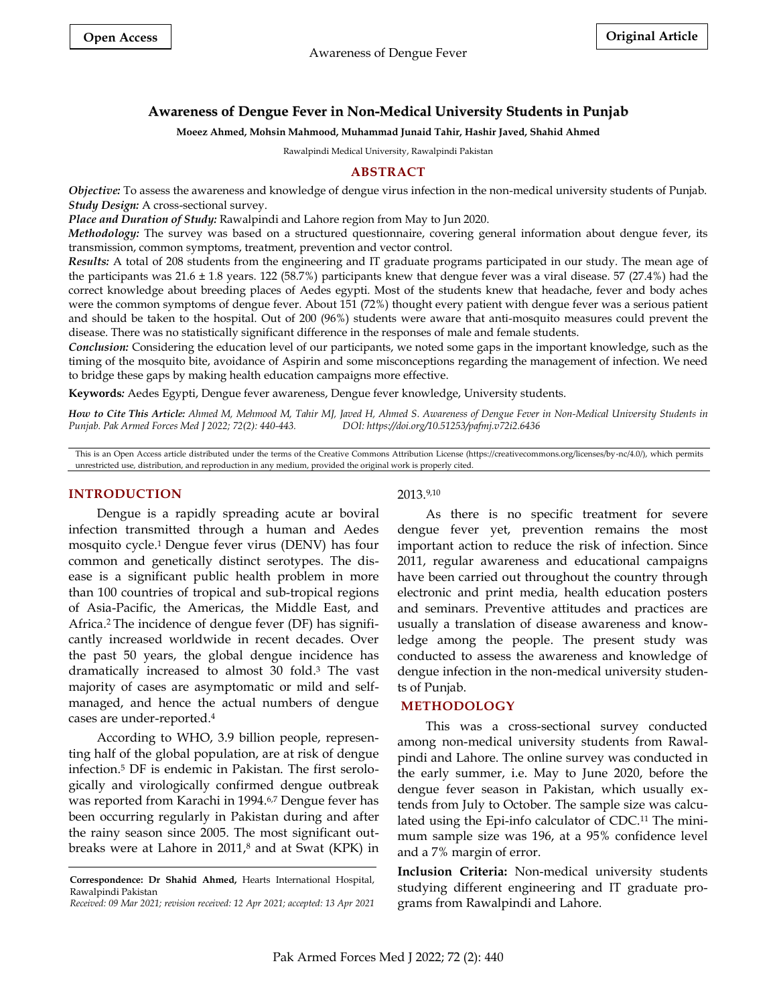# **Awareness of Dengue Fever in Non-Medical University Students in Punjab**

#### **Moeez Ahmed, Mohsin Mahmood, Muhammad Junaid Tahir, Hashir Javed, Shahid Ahmed**

Rawalpindi Medical University, Rawalpindi Pakistan

### **ABSTRACT**

*Objective:* To assess the awareness and knowledge of dengue virus infection in the non-medical university students of Punjab. *Study Design:* A cross-sectional survey.

*Place and Duration of Study:* Rawalpindi and Lahore region from May to Jun 2020.

*Methodology:* The survey was based on a structured questionnaire, covering general information about dengue fever, its transmission, common symptoms, treatment, prevention and vector control.

*Results:* A total of 208 students from the engineering and IT graduate programs participated in our study. The mean age of the participants was 21.6 ± 1.8 years. 122 (58.7%) participants knew that dengue fever was a viral disease. 57 (27.4%) had the correct knowledge about breeding places of Aedes egypti. Most of the students knew that headache, fever and body aches were the common symptoms of dengue fever. About 151 (72%) thought every patient with dengue fever was a serious patient and should be taken to the hospital. Out of 200 (96%) students were aware that anti-mosquito measures could prevent the disease. There was no statistically significant difference in the responses of male and female students.

*Conclusion:* Considering the education level of our participants, we noted some gaps in the important knowledge, such as the timing of the mosquito bite, avoidance of Aspirin and some misconceptions regarding the management of infection. We need to bridge these gaps by making health education campaigns more effective.

**Keywords***:* Aedes Egypti, Dengue fever awareness, Dengue fever knowledge, University students.

*How to Cite This Article: Ahmed M, Mehmood M, Tahir MJ, Javed H, Ahmed S. Awareness of Dengue Fever in Non-Medical University Students in Punjab. Pak Armed Forces Med J 2022; 72(2): 440-443. DOI: https://doi.org/10.51253/pafmj.v72i2.6436*

This is an Open Access article distributed under the terms of the Creative Commons Attribution License (https://creativecommons.org/licenses/by-nc/4.0/), which permits unrestricted use, distribution, and reproduction in any medium, provided the original work is properly cited.

#### **INTRODUCTION**

Dengue is a rapidly spreading acute ar boviral infection transmitted through a human and Aedes mosquito cycle. <sup>1</sup> Dengue fever virus (DENV) has four common and genetically distinct serotypes. The disease is a significant public health problem in more than 100 countries of tropical and sub-tropical regions of Asia-Pacific, the Americas, the Middle East, and Africa. <sup>2</sup> The incidence of dengue fever (DF) has significantly increased worldwide in recent decades. Over the past 50 years, the global dengue incidence has dramatically increased to almost 30 fold. <sup>3</sup> The vast majority of cases are asymptomatic or mild and selfmanaged, and hence the actual numbers of dengue cases are under-reported. 4

According to WHO, 3.9 billion people, representing half of the global population, are at risk of dengue infection. <sup>5</sup> DF is endemic in Pakistan. The first serologically and virologically confirmed dengue outbreak was reported from Karachi in 1994. 6,7 Dengue fever has been occurring regularly in Pakistan during and after the rainy season since 2005. The most significant outbreaks were at Lahore in 2011, <sup>8</sup> and at Swat (KPK) in

## 2013. 9,10

As there is no specific treatment for severe dengue fever yet, prevention remains the most important action to reduce the risk of infection. Since 2011, regular awareness and educational campaigns have been carried out throughout the country through electronic and print media, health education posters and seminars. Preventive attitudes and practices are usually a translation of disease awareness and knowledge among the people. The present study was conducted to assess the awareness and knowledge of dengue infection in the non-medical university students of Punjab.

#### **METHODOLOGY**

This was a cross-sectional survey conducted among non-medical university students from Rawalpindi and Lahore. The online survey was conducted in the early summer, i.e. May to June 2020, before the dengue fever season in Pakistan, which usually extends from July to October. The sample size was calculated using the Epi-info calculator of CDC.<sup>11</sup> The minimum sample size was 196, at a 95% confidence level and a 7% margin of error.

**Inclusion Criteria:** Non-medical university students studying different engineering and IT graduate programs from Rawalpindi and Lahore.

**Correspondence: Dr Shahid Ahmed,** Hearts International Hospital, Rawalpindi Pakistan

*Received: 09 Mar 2021; revision received: 12 Apr 2021; accepted: 13 Apr 2021*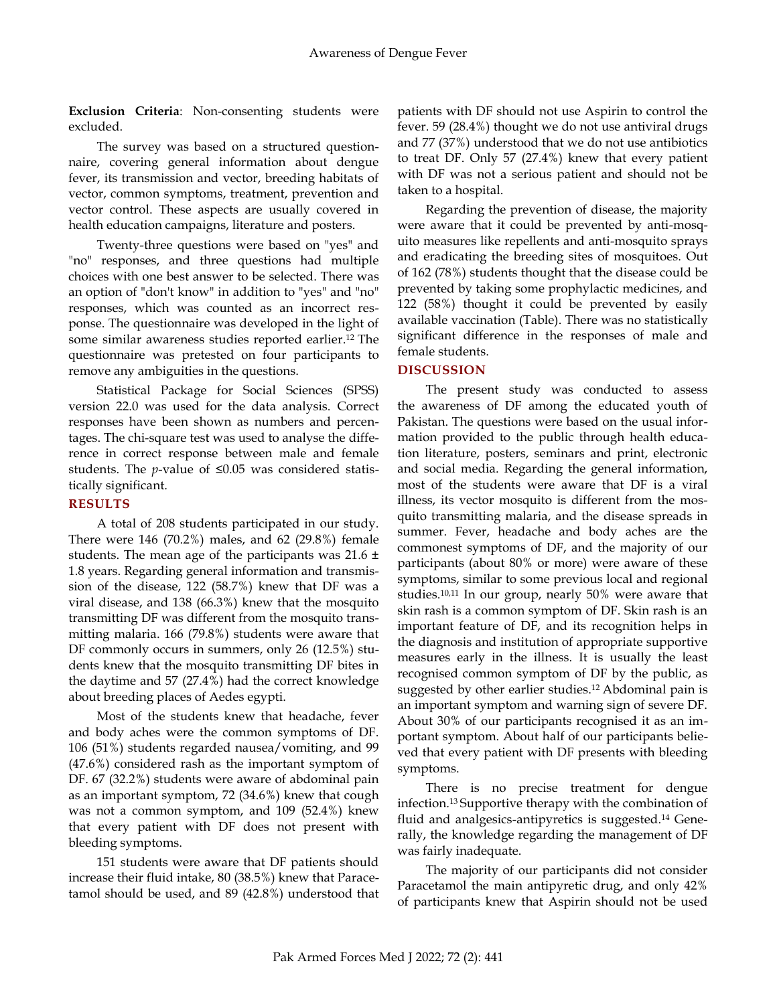**Exclusion Criteria**: Non-consenting students were excluded.

The survey was based on a structured questionnaire, covering general information about dengue fever, its transmission and vector, breeding habitats of vector, common symptoms, treatment, prevention and vector control. These aspects are usually covered in health education campaigns, literature and posters.

Twenty-three questions were based on "yes" and "no" responses, and three questions had multiple choices with one best answer to be selected. There was an option of "don't know" in addition to "yes" and "no" responses, which was counted as an incorrect response. The questionnaire was developed in the light of some similar awareness studies reported earlier. <sup>12</sup> The questionnaire was pretested on four participants to remove any ambiguities in the questions.

Statistical Package for Social Sciences (SPSS) version 22.0 was used for the data analysis. Correct responses have been shown as numbers and percentages. The chi-square test was used to analyse the difference in correct response between male and female students. The *p*-value of ≤0.05 was considered statistically significant.

# **RESULTS**

A total of 208 students participated in our study. There were 146 (70.2%) males, and 62 (29.8%) female students. The mean age of the participants was  $21.6 \pm$ 1.8 years. Regarding general information and transmission of the disease, 122 (58.7%) knew that DF was a viral disease, and 138 (66.3%) knew that the mosquito transmitting DF was different from the mosquito transmitting malaria. 166 (79.8%) students were aware that DF commonly occurs in summers, only 26 (12.5%) students knew that the mosquito transmitting DF bites in the daytime and 57 (27.4%) had the correct knowledge about breeding places of Aedes egypti.

Most of the students knew that headache, fever and body aches were the common symptoms of DF. 106 (51%) students regarded nausea/vomiting, and 99 (47.6%) considered rash as the important symptom of DF. 67 (32.2%) students were aware of abdominal pain as an important symptom, 72 (34.6%) knew that cough was not a common symptom, and 109 (52.4%) knew that every patient with DF does not present with bleeding symptoms.

151 students were aware that DF patients should increase their fluid intake, 80 (38.5%) knew that Paracetamol should be used, and 89 (42.8%) understood that patients with DF should not use Aspirin to control the fever. 59 (28.4%) thought we do not use antiviral drugs and 77 (37%) understood that we do not use antibiotics to treat DF. Only 57 (27.4%) knew that every patient with DF was not a serious patient and should not be taken to a hospital.

Regarding the prevention of disease, the majority were aware that it could be prevented by anti-mosquito measures like repellents and anti-mosquito sprays and eradicating the breeding sites of mosquitoes. Out of 162 (78%) students thought that the disease could be prevented by taking some prophylactic medicines, and 122 (58%) thought it could be prevented by easily available vaccination (Table). There was no statistically significant difference in the responses of male and female students.

# **DISCUSSION**

The present study was conducted to assess the awareness of DF among the educated youth of Pakistan. The questions were based on the usual information provided to the public through health education literature, posters, seminars and print, electronic and social media. Regarding the general information, most of the students were aware that DF is a viral illness, its vector mosquito is different from the mosquito transmitting malaria, and the disease spreads in summer. Fever, headache and body aches are the commonest symptoms of DF, and the majority of our participants (about 80% or more) were aware of these symptoms, similar to some previous local and regional studies. 10,11 In our group, nearly 50% were aware that skin rash is a common symptom of DF. Skin rash is an important feature of DF, and its recognition helps in the diagnosis and institution of appropriate supportive measures early in the illness. It is usually the least recognised common symptom of DF by the public, as suggested by other earlier studies. <sup>12</sup> Abdominal pain is an important symptom and warning sign of severe DF. About 30% of our participants recognised it as an important symptom. About half of our participants believed that every patient with DF presents with bleeding symptoms.

There is no precise treatment for dengue infection. <sup>13</sup> Supportive therapy with the combination of fluid and analgesics-antipyretics is suggested. <sup>14</sup> Generally, the knowledge regarding the management of DF was fairly inadequate.

The majority of our participants did not consider Paracetamol the main antipyretic drug, and only 42% of participants knew that Aspirin should not be used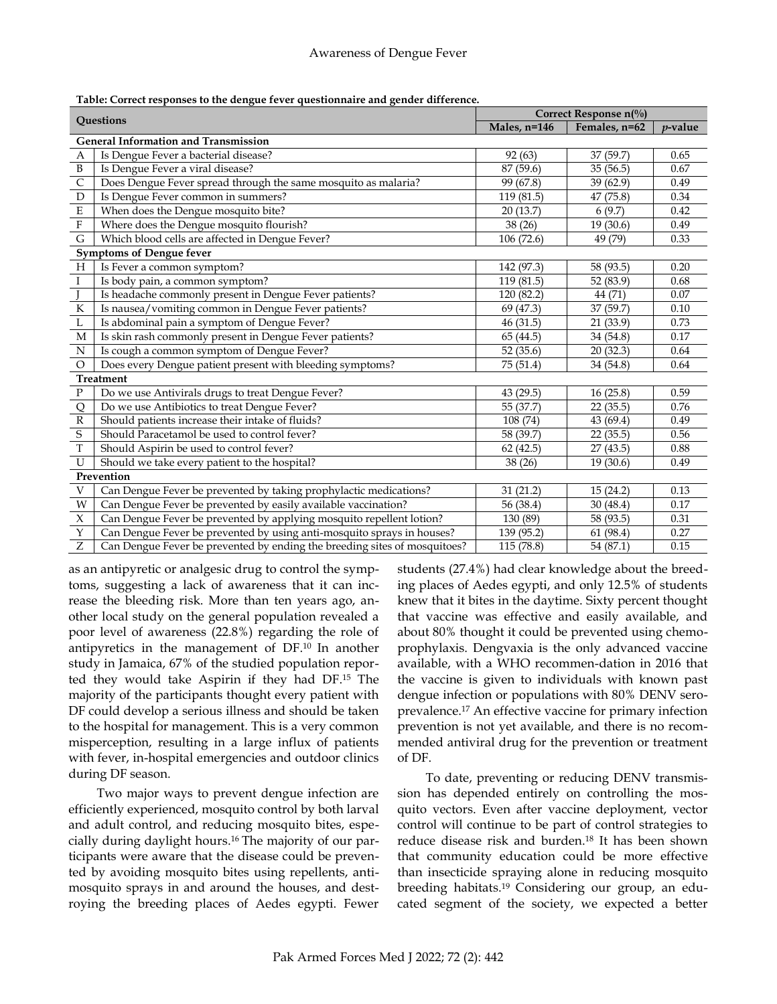|  |  |  | Table: Correct responses to the dengue fever questionnaire and gender difference. |
|--|--|--|-----------------------------------------------------------------------------------|

| Questions                                   |                                                                           | Correct Response $n(\%)$ |               |            |  |  |  |  |  |
|---------------------------------------------|---------------------------------------------------------------------------|--------------------------|---------------|------------|--|--|--|--|--|
|                                             |                                                                           | Males, n=146             | Females, n=62 | $p$ -value |  |  |  |  |  |
| <b>General Information and Transmission</b> |                                                                           |                          |               |            |  |  |  |  |  |
| A                                           | Is Dengue Fever a bacterial disease?                                      | 92(63)                   | 37 (59.7)     | 0.65       |  |  |  |  |  |
| $\, {\bf B}$                                | Is Dengue Fever a viral disease?                                          | 87 (59.6)                | 35(56.5)      | 0.67       |  |  |  |  |  |
| $\mathsf{C}$                                | Does Dengue Fever spread through the same mosquito as malaria?            | 99 (67.8)                | 39 (62.9)     | 0.49       |  |  |  |  |  |
| $\mathbf D$                                 | Is Dengue Fever common in summers?                                        | 119 (81.5)               | 47 (75.8)     | 0.34       |  |  |  |  |  |
| $\mathbf E$                                 | When does the Dengue mosquito bite?                                       | 20(13.7)                 | 6(9.7)        | 0.42       |  |  |  |  |  |
| $\overline{\mathrm{F}}$                     | Where does the Dengue mosquito flourish?                                  | 38 (26)                  | 19(30.6)      | 0.49       |  |  |  |  |  |
| G                                           | Which blood cells are affected in Dengue Fever?                           | 106 (72.6)               | 49 (79)       | 0.33       |  |  |  |  |  |
| <b>Symptoms of Dengue fever</b>             |                                                                           |                          |               |            |  |  |  |  |  |
| H                                           | Is Fever a common symptom?                                                | 142 (97.3)               | 58 (93.5)     | 0.20       |  |  |  |  |  |
| $\rm I$                                     | Is body pain, a common symptom?                                           | 119 (81.5)               | 52 (83.9)     | 0.68       |  |  |  |  |  |
|                                             | Is headache commonly present in Dengue Fever patients?                    | 120 (82.2)               | 44 (71)       | 0.07       |  |  |  |  |  |
| ${\bf K}$                                   | Is nausea/vomiting common in Dengue Fever patients?                       | 69 (47.3)                | 37 (59.7)     | 0.10       |  |  |  |  |  |
| L                                           | Is abdominal pain a symptom of Dengue Fever?                              | 46(31.5)                 | 21(33.9)      | 0.73       |  |  |  |  |  |
| M                                           | Is skin rash commonly present in Dengue Fever patients?                   | 65 (44.5)                | 34 (54.8)     | 0.17       |  |  |  |  |  |
| $\mathbf N$                                 | Is cough a common symptom of Dengue Fever?                                | 52(35.6)                 | 20(32.3)      | 0.64       |  |  |  |  |  |
| $\circ$                                     | Does every Dengue patient present with bleeding symptoms?                 | 75 (51.4)                | 34 (54.8)     | 0.64       |  |  |  |  |  |
| <b>Treatment</b>                            |                                                                           |                          |               |            |  |  |  |  |  |
| $\mathbf P$                                 | Do we use Antivirals drugs to treat Dengue Fever?                         | 43 (29.5)                | 16(25.8)      | 0.59       |  |  |  |  |  |
| Q                                           | Do we use Antibiotics to treat Dengue Fever?                              | 55 (37.7)                | 22(35.5)      | 0.76       |  |  |  |  |  |
| $\mathbb R$                                 | Should patients increase their intake of fluids?                          | 108 (74)                 | 43 (69.4)     | 0.49       |  |  |  |  |  |
| $\mathsf S$                                 | Should Paracetamol be used to control fever?                              | 58 (39.7)                | 22(35.5)      | 0.56       |  |  |  |  |  |
| $\overline{T}$                              | Should Aspirin be used to control fever?                                  | 62(42.5)                 | 27(43.5)      | 0.88       |  |  |  |  |  |
| $\mathbf U$                                 | Should we take every patient to the hospital?                             | 38(26)                   | 19(30.6)      | 0.49       |  |  |  |  |  |
| Prevention                                  |                                                                           |                          |               |            |  |  |  |  |  |
| $\mathbf V$                                 | Can Dengue Fever be prevented by taking prophylactic medications?         | 31(21.2)                 | 15(24.2)      | 0.13       |  |  |  |  |  |
| W                                           | Can Dengue Fever be prevented by easily available vaccination?            | 56 (38.4)                | 30(48.4)      | 0.17       |  |  |  |  |  |
| $\overline{X}$                              | Can Dengue Fever be prevented by applying mosquito repellent lotion?      | 130 (89)                 | 58 (93.5)     | 0.31       |  |  |  |  |  |
| Y                                           | Can Dengue Fever be prevented by using anti-mosquito sprays in houses?    | 139 (95.2)               | 61(98.4)      | 0.27       |  |  |  |  |  |
| Z                                           | Can Dengue Fever be prevented by ending the breeding sites of mosquitoes? | 115 (78.8)               | 54 (87.1)     | 0.15       |  |  |  |  |  |

as an antipyretic or analgesic drug to control the symptoms, suggesting a lack of awareness that it can increase the bleeding risk. More than ten years ago, another local study on the general population revealed a poor level of awareness (22.8%) regarding the role of antipyretics in the management of DF. <sup>10</sup> In another study in Jamaica, 67% of the studied population reported they would take Aspirin if they had DF. <sup>15</sup> The majority of the participants thought every patient with DF could develop a serious illness and should be taken to the hospital for management. This is a very common misperception, resulting in a large influx of patients with fever, in-hospital emergencies and outdoor clinics during DF season.

Two major ways to prevent dengue infection are efficiently experienced, mosquito control by both larval and adult control, and reducing mosquito bites, especially during daylight hours. <sup>16</sup> The majority of our participants were aware that the disease could be prevented by avoiding mosquito bites using repellents, antimosquito sprays in and around the houses, and destroying the breeding places of Aedes egypti. Fewer students (27.4%) had clear knowledge about the breeding places of Aedes egypti, and only 12.5% of students knew that it bites in the daytime. Sixty percent thought that vaccine was effective and easily available, and about 80% thought it could be prevented using chemoprophylaxis. Dengvaxia is the only advanced vaccine available, with a WHO recommen-dation in 2016 that the vaccine is given to individuals with known past dengue infection or populations with 80% DENV seroprevalence. <sup>17</sup> An effective vaccine for primary infection prevention is not yet available, and there is no recommended antiviral drug for the prevention or treatment of DF.

To date, preventing or reducing DENV transmission has depended entirely on controlling the mosquito vectors. Even after vaccine deployment, vector control will continue to be part of control strategies to reduce disease risk and burden. <sup>18</sup> It has been shown that community education could be more effective than insecticide spraying alone in reducing mosquito breeding habitats. <sup>19</sup> Considering our group, an educated segment of the society, we expected a better